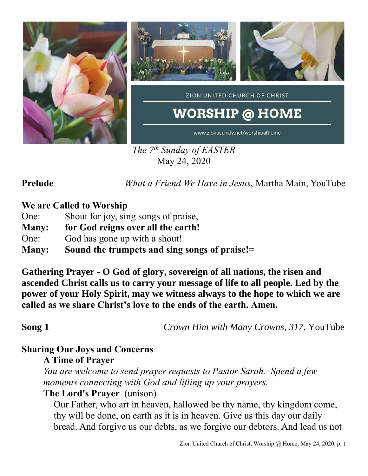

*The 7 th Sunday of EASTER* May 24, 2020

**Prelude** *What a Friend We Have in Jesus*, Martha Main, YouTube

### **We are Called to Worship**

- One: Shout for joy, sing songs of praise,
- **Many: for God reigns over all the earth!**
- One: God has gone up with a shout!
- **Many: Sound the trumpets and sing songs of praise!=**

**Gathering Prayer** - **O God of glory, sovereign of all nations, the risen and ascended Christ calls us to carry your message of life to all people. Led by the power of your Holy Spirit, may we witness always to the hope to which we are called as we share Christ's love to the ends of the earth. Amen.**

**Song 1** *Crown Him with Many Crowns, 317*, YouTube

# **Sharing Our Joys and Concerns**

### **A Time of Prayer**

*You are welcome to send prayer requests to Pastor Sarah. Spend a few moments connecting with God and lifting up your prayers.*

### **The Lord's Prayer** (unison)

Our Father, who art in heaven, hallowed be thy name, thy kingdom come, thy will be done, on earth as it is in heaven. Give us this day our daily bread. And forgive us our debts, as we forgive our debtors. And lead us not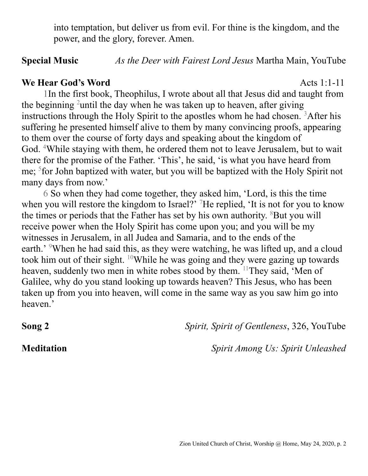into temptation, but deliver us from evil. For thine is the kingdom, and the power, and the glory, forever. Amen.

### **Special Music** *As the Deer with Fairest Lord Jesus* Martha Main, YouTube

### **We Hear God's Word** Acts 1:1-11

1In the first book, Theophilus, I wrote about all that Jesus did and taught from the beginning <sup>2</sup>until the day when he was taken up to heaven, after giving instructions through the Holy Spirit to the apostles whom he had chosen.  ${}^{3}$ After his suffering he presented himself alive to them by many convincing proofs, appearing to them over the course of forty days and speaking about the kingdom of God. <sup>4</sup>While staying with them, he ordered them not to leave Jerusalem, but to wait there for the promise of the Father. 'This', he said, 'is what you have heard from me; <sup>5</sup> for John baptized with water, but you will be baptized with the Holy Spirit not many days from now.'

6 So when they had come together, they asked him, 'Lord, is this the time when you will restore the kingdom to Israel?<sup>7</sup> He replied, 'It is not for you to know the times or periods that the Father has set by his own authority.  ${}^{8}$ But you will receive power when the Holy Spirit has come upon you; and you will be my witnesses in Jerusalem, in all Judea and Samaria, and to the ends of the earth.' <sup>9</sup>When he had said this, as they were watching, he was lifted up, and a cloud took him out of their sight. <sup>10</sup>While he was going and they were gazing up towards heaven, suddenly two men in white robes stood by them. <sup>11</sup>They said, 'Men of Galilee, why do you stand looking up towards heaven? This Jesus, who has been taken up from you into heaven, will come in the same way as you saw him go into heaven.'

**Song 2** *Spirit, Spirit of Gentleness*, 326, YouTube

**Meditation** *Spirit Among Us: Spirit Unleashed*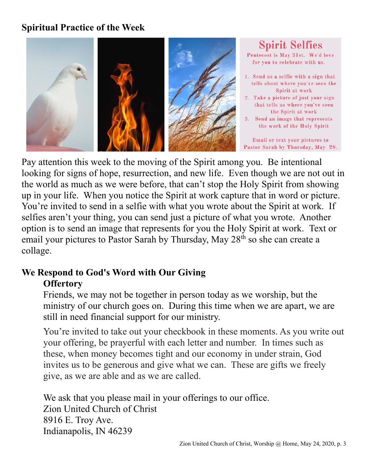# **Spiritual Practice of the Week**



### **Spirit Selfies** Pentecost is May 31st. We'd love for you to celebrate with us. 1. Send us a selfie with a sign that tells about where you've seen the Spirit at work 2. Take a picture of just your sign that tells us where you've seen the Spirit at work 3. Send an image that represents

the work of the Holy Spirit

Email or text your pictures to Pastor Sarah by Thursday, May 28.

Pay attention this week to the moving of the Spirit among you. Be intentional looking for signs of hope, resurrection, and new life. Even though we are not out in the world as much as we were before, that can't stop the Holy Spirit from showing up in your life. When you notice the Spirit at work capture that in word or picture. You're invited to send in a selfie with what you wrote about the Spirit at work. If selfies aren't your thing, you can send just a picture of what you wrote. Another option is to send an image that represents for you the Holy Spirit at work. Text or email your pictures to Pastor Sarah by Thursday, May 28<sup>th</sup> so she can create a collage.

### **We Respond to God's Word with Our Giving Offertory**

Friends, we may not be together in person today as we worship, but the ministry of our church goes on. During this time when we are apart, we are still in need financial support for our ministry.

You're invited to take out your checkbook in these moments. As you write out your offering, be prayerful with each letter and number. In times such as these, when money becomes tight and our economy in under strain, God invites us to be generous and give what we can. These are gifts we freely give, as we are able and as we are called.

We ask that you please mail in your offerings to our office. Zion United Church of Christ 8916 E. Troy Ave. Indianapolis, IN 46239